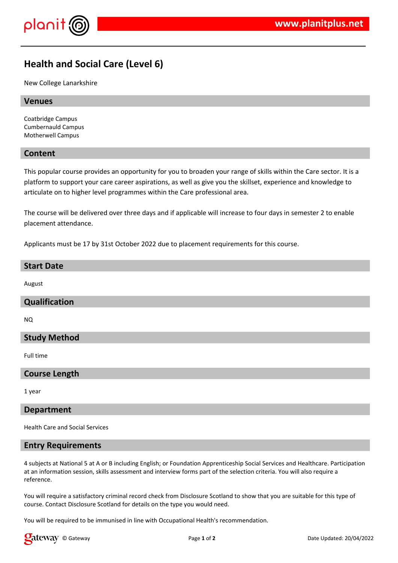

# **Health and Social Care (Level 6)**

New College Lanarkshire

# **Venues**

Coatbridge Campus Cumbernauld Campus Motherwell Campus

# **Content**

This popular course provides an opportunity for you to broaden your range of skills within the Care sector. It is a platform to support your care career aspirations, as well as give you the skillset, experience and knowledge to articulate on to higher level programmes within the Care professional area.

The course will be delivered over three days and if applicable will increase to four days in semester 2 to enable placement attendance.

Applicants must be 17 by 31st October 2022 due to placement requirements for this course.

#### **Start Date**

August

### **Qualification**

NQ

#### **Study Method**

Full time

#### **Course Length**

1 year

#### **Department**

Health Care and Social Services

#### **Entry Requirements**

4 subjects at National 5 at A or B including English; or Foundation Apprenticeship Social Services and Healthcare. Participation at an information session, skills assessment and interview forms part of the selection criteria. You will also require a reference.

You will require a satisfactory criminal record check from Disclosure Scotland to show that you are suitable for this type of course. Contact Disclosure Scotland for details on the type you would need.

You will be required to be immunised in line with Occupational Health's recommendation.